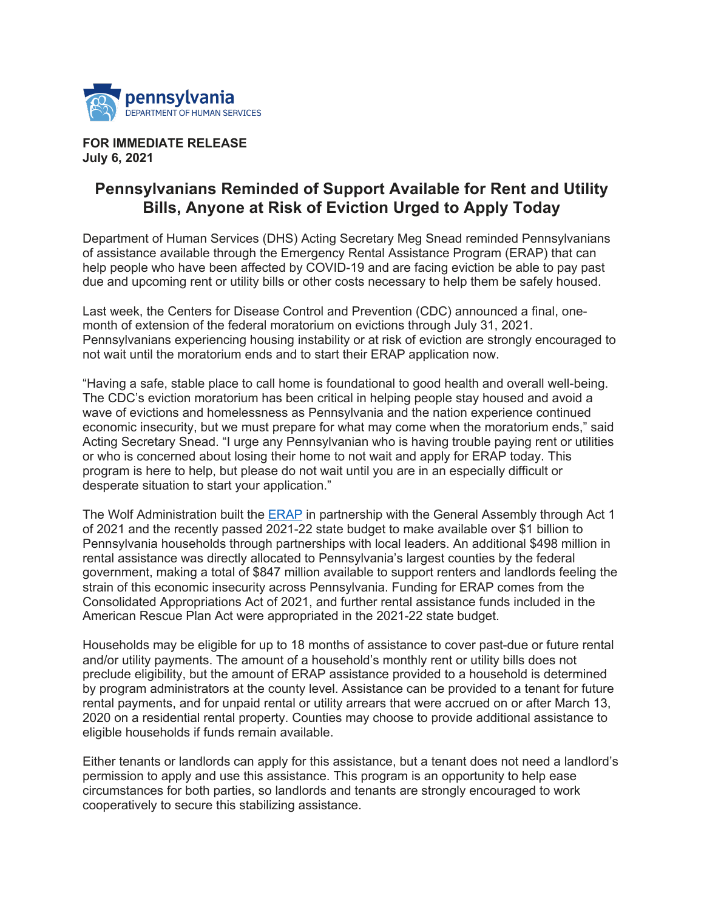

## **FOR IMMEDIATE RELEASE July 6, 2021**

## **Pennsylvanians Reminded of Support Available for Rent and Utility Bills, Anyone at Risk of Eviction Urged to Apply Today**

Department of Human Services (DHS) Acting Secretary Meg Snead reminded Pennsylvanians of assistance available through the Emergency Rental Assistance Program (ERAP) that can help people who have been affected by COVID-19 and are facing eviction be able to pay past due and upcoming rent or utility bills or other costs necessary to help them be safely housed.

Last week, the Centers for Disease Control and Prevention (CDC) announced a final, onemonth of extension of the federal moratorium on evictions through July 31, 2021. Pennsylvanians experiencing housing instability or at risk of eviction are strongly encouraged to not wait until the moratorium ends and to start their ERAP application now.

"Having a safe, stable place to call home is foundational to good health and overall well-being. The CDC's eviction moratorium has been critical in helping people stay housed and avoid a wave of evictions and homelessness as Pennsylvania and the nation experience continued economic insecurity, but we must prepare for what may come when the moratorium ends," said Acting Secretary Snead. "I urge any Pennsylvanian who is having trouble paying rent or utilities or who is concerned about losing their home to not wait and apply for ERAP today. This program is here to help, but please do not wait until you are in an especially difficult or desperate situation to start your application."

The Wolf Administration built the ERAP in partnership with the General Assembly through Act 1 of 2021 and the recently passed 2021-22 state budget to make available over \$1 billion to Pennsylvania households through partnerships with local leaders. An additional \$498 million in rental assistance was directly allocated to Pennsylvania's largest counties by the federal government, making a total of \$847 million available to support renters and landlords feeling the strain of this economic insecurity across Pennsylvania. Funding for ERAP comes from the Consolidated Appropriations Act of 2021, and further rental assistance funds included in the American Rescue Plan Act were appropriated in the 2021-22 state budget.

Households may be eligible for up to 18 months of assistance to cover past-due or future rental and/or utility payments. The amount of a household's monthly rent or utility bills does not preclude eligibility, but the amount of ERAP assistance provided to a household is determined by program administrators at the county level. Assistance can be provided to a tenant for future rental payments, and for unpaid rental or utility arrears that were accrued on or after March 13, 2020 on a residential rental property. Counties may choose to provide additional assistance to eligible households if funds remain available.

Either tenants or landlords can apply for this assistance, but a tenant does not need a landlord's permission to apply and use this assistance. This program is an opportunity to help ease circumstances for both parties, so landlords and tenants are strongly encouraged to work cooperatively to secure this stabilizing assistance.